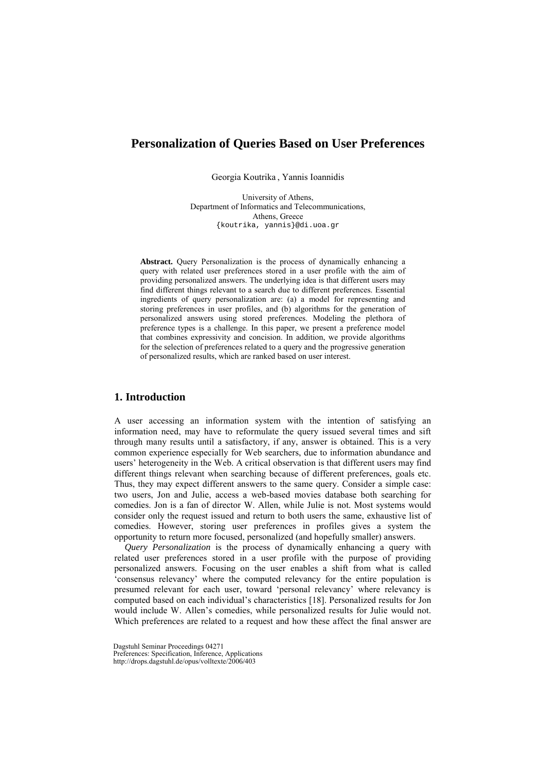# **Personalization of Queries Based on User Preferences**

Georgia Koutrika , Yannis Ioannidis

University of Athens, Department of Informatics and Telecommunications, Athens, Greece {koutrika, yannis}@di.uoa.gr

**Abstract.** Query Personalization is the process of dynamically enhancing a query with related user preferences stored in a user profile with the aim of providing personalized answers. The underlying idea is that different users may find different things relevant to a search due to different preferences. Essential ingredients of query personalization are: (a) a model for representing and storing preferences in user profiles, and (b) algorithms for the generation of personalized answers using stored preferences. Modeling the plethora of preference types is a challenge. In this paper, we present a preference model that combines expressivity and concision. In addition, we provide algorithms for the selection of preferences related to a query and the progressive generation of personalized results, which are ranked based on user interest.

## **1. Introduction**

A user accessing an information system with the intention of satisfying an information need, may have to reformulate the query issued several times and sift through many results until a satisfactory, if any, answer is obtained. This is a very common experience especially for Web searchers, due to information abundance and users' heterogeneity in the Web. A critical observation is that different users may find different things relevant when searching because of different preferences, goals etc. Thus, they may expect different answers to the same query. Consider a simple case: two users, Jon and Julie, access a web-based movies database both searching for comedies. Jon is a fan of director W. Allen, while Julie is not. Most systems would consider only the request issued and return to both users the same, exhaustive list of comedies. However, storing user preferences in profiles gives a system the opportunity to return more focused, personalized (and hopefully smaller) answers.

*Query Personalization* is the process of dynamically enhancing a query with related user preferences stored in a user profile with the purpose of providing personalized answers. Focusing on the user enables a shift from what is called 'consensus relevancy' where the computed relevancy for the entire population is presumed relevant for each user, toward 'personal relevancy' where relevancy is computed based on each individual's characteristics [18]. Personalized results for Jon would include W. Allen's comedies, while personalized results for Julie would not. Which preferences are related to a request and how these affect the final answer are

Dagstuhl Seminar Proceedings 04271

Preferences: Specification, Inference, Applications

http://drops.dagstuhl.de/opus/volltexte/2006/403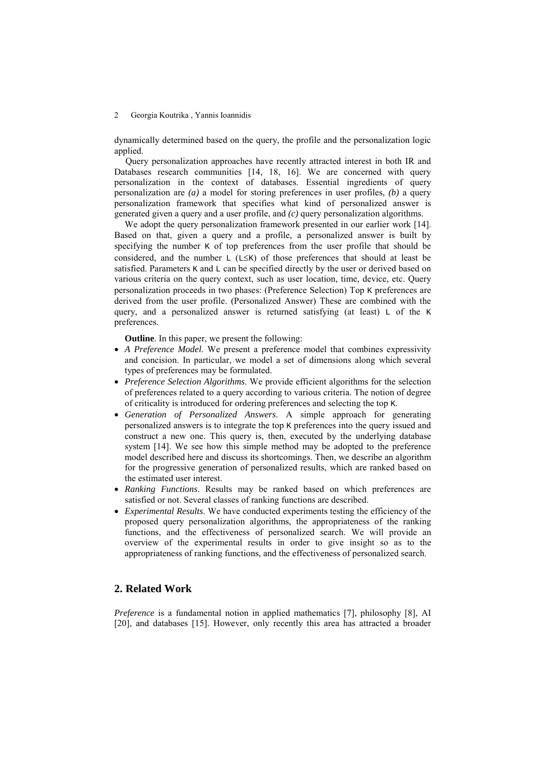dynamically determined based on the query, the profile and the personalization logic applied.

Query personalization approaches have recently attracted interest in both IR and Databases research communities [14, 18, 16]. We are concerned with query personalization in the context of databases. Essential ingredients of query personalization are *(a)* a model for storing preferences in user profiles, *(b)* a query personalization framework that specifies what kind of personalized answer is generated given a query and a user profile, and *(c)* query personalization algorithms.

We adopt the query personalization framework presented in our earlier work [14]. Based on that, given a query and a profile, a personalized answer is built by specifying the number K of top preferences from the user profile that should be considered, and the number  $L$  ( $L \leq K$ ) of those preferences that should at least be satisfied. Parameters  $K$  and  $L$  can be specified directly by the user or derived based on various criteria on the query context, such as user location, time, device, etc. Query personalization proceeds in two phases: (Preference Selection) Top K preferences are derived from the user profile. (Personalized Answer) These are combined with the query, and a personalized answer is returned satisfying (at least) L of the K preferences.

**Outline**. In this paper, we present the following:

- *A Preference Model*. We present a preference model that combines expressivity and concision. In particular, we model a set of dimensions along which several types of preferences may be formulated.
- *Preference Selection Algorithms*. We provide efficient algorithms for the selection of preferences related to a query according to various criteria. The notion of degree of criticality is introduced for ordering preferences and selecting the top K.
- *Generation of Personalized Answers*. A simple approach for generating personalized answers is to integrate the top K preferences into the query issued and construct a new one. This query is, then, executed by the underlying database system [14]. We see how this simple method may be adopted to the preference model described here and discuss its shortcomings. Then, we describe an algorithm for the progressive generation of personalized results, which are ranked based on the estimated user interest.
- *Ranking Functions*. Results may be ranked based on which preferences are satisfied or not. Several classes of ranking functions are described.
- *Experimental Results*. We have conducted experiments testing the efficiency of the proposed query personalization algorithms, the appropriateness of the ranking functions, and the effectiveness of personalized search. We will provide an overview of the experimental results in order to give insight so as to the appropriateness of ranking functions, and the effectiveness of personalized search.

### **2. Related Work**

*Preference* is a fundamental notion in applied mathematics [7], philosophy [8], AI [20], and databases [15]. However, only recently this area has attracted a broader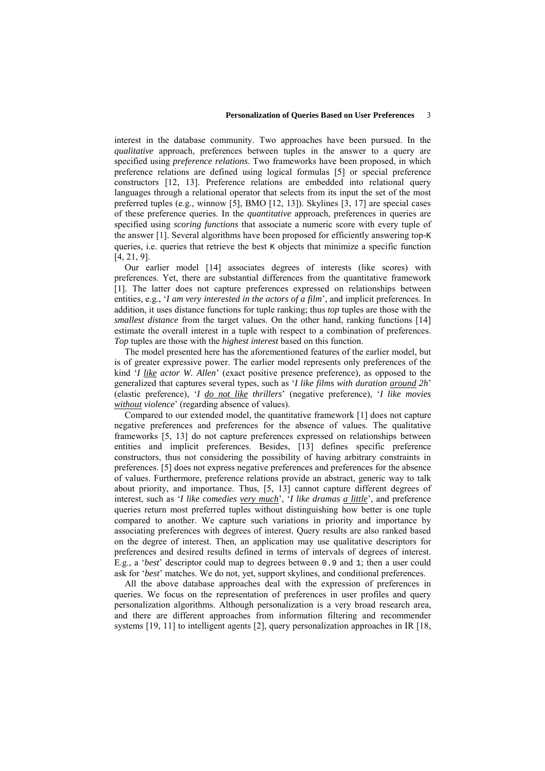interest in the database community. Two approaches have been pursued. In the *qualitative* approach, preferences between tuples in the answer to a query are specified using *preference relations*. Two frameworks have been proposed, in which preference relations are defined using logical formulas [5] or special preference constructors [12, 13]. Preference relations are embedded into relational query languages through a relational operator that selects from its input the set of the most preferred tuples (e.g., winnow [5], BMO [12, 13]). Skylines [3, 17] are special cases of these preference queries. In the *quantitative* approach, preferences in queries are specified using *scoring functions* that associate a numeric score with every tuple of the answer [1]. Several algorithms have been proposed for efficiently answering top-K queries, i.e. queries that retrieve the best  $K$  objects that minimize a specific function [4, 21, 9].

Our earlier model [14] associates degrees of interests (like scores) with preferences. Yet, there are substantial differences from the quantitative framework [1]. The latter does not capture preferences expressed on relationships between entities, e.g., '*I am very interested in the actors of a film*', and implicit preferences. In addition, it uses distance functions for tuple ranking; thus *top* tuples are those with the *smallest distance* from the target values. On the other hand, ranking functions [14] estimate the overall interest in a tuple with respect to a combination of preferences. *Top* tuples are those with the *highest interest* based on this function.

The model presented here has the aforementioned features of the earlier model, but is of greater expressive power. The earlier model represents only preferences of the kind '*I like actor W. Allen*' (exact positive presence preference), as opposed to the generalized that captures several types, such as '*I like films with duration around 2h*' (elastic preference), '*I do not like thrillers*' (negative preference), '*I like movies without violence*' (regarding absence of values).

Compared to our extended model, the quantitative framework [1] does not capture negative preferences and preferences for the absence of values. The qualitative frameworks [5, 13] do not capture preferences expressed on relationships between entities and implicit preferences. Besides, [13] defines specific preference constructors, thus not considering the possibility of having arbitrary constraints in preferences. [5] does not express negative preferences and preferences for the absence of values. Furthermore, preference relations provide an abstract, generic way to talk about priority, and importance. Thus, [5, 13] cannot capture different degrees of interest, such as '*I like comedies very much*', '*I like dramas a little*', and preference queries return most preferred tuples without distinguishing how better is one tuple compared to another. We capture such variations in priority and importance by associating preferences with degrees of interest. Query results are also ranked based on the degree of interest. Then, an application may use qualitative descriptors for preferences and desired results defined in terms of intervals of degrees of interest. E.g., a '*best*' descriptor could map to degrees between 0.9 and 1; then a user could ask for '*best*' matches. We do not, yet, support skylines, and conditional preferences.

All the above database approaches deal with the expression of preferences in queries. We focus on the representation of preferences in user profiles and query personalization algorithms. Although personalization is a very broad research area, and there are different approaches from information filtering and recommender systems [19, 11] to intelligent agents [2], query personalization approaches in IR [18,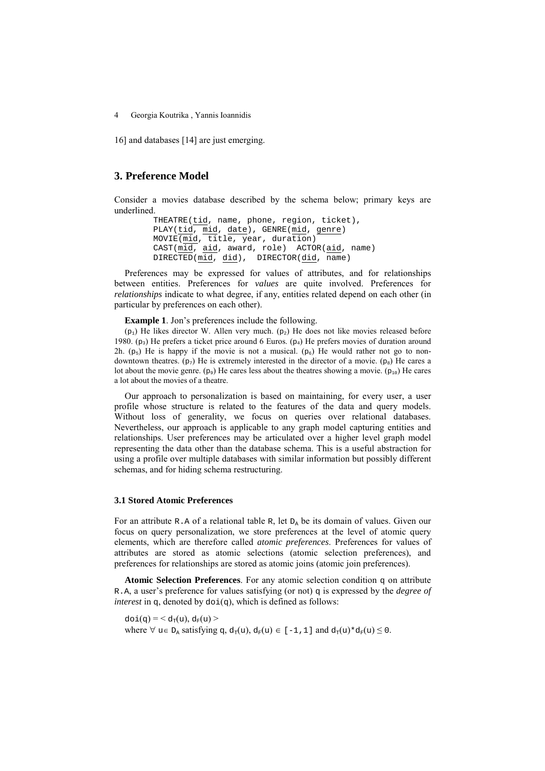16] and databases [14] are just emerging.

## **3. Preference Model**

Consider a movies database described by the schema below; primary keys are underlined.

```
 THEATRE(tid, name, phone, region, ticket), 
 PLAY(tid, mid, date), GENRE(mid, genre) 
 MOVIE(mid, title, year, duration) 
 CAST(mid, aid, award, role) ACTOR(aid, name) 
DIRECTED(mid, did), DIRECTOR(id, name)
```
Preferences may be expressed for values of attributes, and for relationships between entities. Preferences for *values* are quite involved. Preferences for *relationships* indicate to what degree, if any, entities related depend on each other (in particular by preferences on each other).

**Example 1**. Jon's preferences include the following.

 $(p_1)$  He likes director W. Allen very much.  $(p_2)$  He does not like movies released before 1980.  $(p_3)$  He prefers a ticket price around 6 Euros.  $(p_4)$  He prefers movies of duration around 2h. (p<sub>5</sub>) He is happy if the movie is not a musical. (p<sub>6</sub>) He would rather not go to nondowntown theatres. ( $p_7$ ) He is extremely interested in the director of a movie. ( $p_8$ ) He cares a lot about the movie genre.  $(p_9)$  He cares less about the theatres showing a movie.  $(p_{10})$  He cares a lot about the movies of a theatre.

Our approach to personalization is based on maintaining, for every user, a user profile whose structure is related to the features of the data and query models. Without loss of generality, we focus on queries over relational databases. Nevertheless, our approach is applicable to any graph model capturing entities and relationships. User preferences may be articulated over a higher level graph model representing the data other than the database schema. This is a useful abstraction for using a profile over multiple databases with similar information but possibly different schemas, and for hiding schema restructuring.

#### **3.1 Stored Atomic Preferences**

For an attribute R.A of a relational table R, let  $D<sub>a</sub>$  be its domain of values. Given our focus on query personalization, we store preferences at the level of atomic query elements, which are therefore called *atomic preferences*. Preferences for values of attributes are stored as atomic selections (atomic selection preferences), and preferences for relationships are stored as atomic joins (atomic join preferences).

**Atomic Selection Preferences**. For any atomic selection condition q on attribute R.A, a user's preference for values satisfying (or not)  $\sigma$  is expressed by the *degree of interest* in  $q$ , denoted by  $dof(q)$ , which is defined as follows:

 $\text{doi}(\mathbf{q}) = \leq \mathbf{d}_{\pi}(\mathbf{u}), \mathbf{d}_{\pi}(\mathbf{u}) \geq$ where  $\forall u \in D$ , satisfying q,  $d_{\pi}(u)$ ,  $d_{\pi}(u) \in [-1,1]$  and  $d_{\pi}(u) * d_{\pi}(u) \leq 0$ .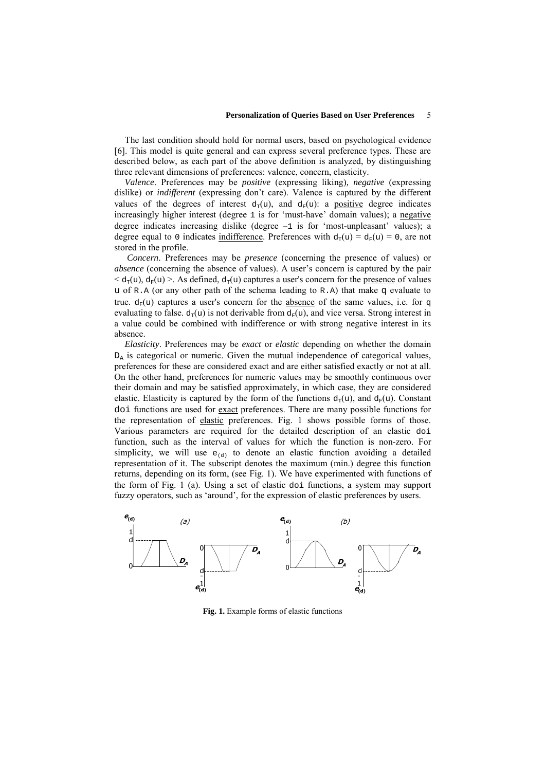The last condition should hold for normal users, based on psychological evidence [6]. This model is quite general and can express several preference types. These are described below, as each part of the above definition is analyzed, by distinguishing three relevant dimensions of preferences: valence, concern, elasticity.

*Valence*. Preferences may be *positive* (expressing liking)*, negative* (expressing dislike) or *indifferent* (expressing don't care). Valence is captured by the different values of the degrees of interest  $d_T(u)$ , and  $d_F(u)$ : a positive degree indicates increasingly higher interest (degree 1 is for 'must-have' domain values); a negative degree indicates increasing dislike (degree −1 is for 'most-unpleasant' values); a degree equal to 0 indicates indifference. Preferences with  $d<sub>T</sub>(u) = d<sub>F</sub>(u) = 0$ , are not stored in the profile.

 *Concern*. Preferences may be *presence* (concerning the presence of values) or *absence* (concerning the absence of values). A user's concern is captured by the pair  $< d<sub>\tau</sub>(u)$ ,  $d<sub>\tau</sub>(u)$  >. As defined,  $d<sub>\tau</sub>(u)$  captures a user's concern for the <u>presence</u> of values u of R.A (or any other path of the schema leading to R.A) that make  $\sigma$  evaluate to true.  $d_F(u)$  captures a user's concern for the absence of the same values, i.e. for q evaluating to false.  $d_{\tau}(u)$  is not derivable from  $d_{\tau}(u)$ , and vice versa. Strong interest in a value could be combined with indifference or with strong negative interest in its absence.

*Elasticity*. Preferences may be *exact* or *elastic* depending on whether the domain  $D_A$  is categorical or numeric. Given the mutual independence of categorical values, preferences for these are considered exact and are either satisfied exactly or not at all. On the other hand, preferences for numeric values may be smoothly continuous over their domain and may be satisfied approximately, in which case, they are considered elastic. Elasticity is captured by the form of the functions  $d_{\tau}(u)$ , and  $d_{\tau}(u)$ . Constant doi functions are used for exact preferences. There are many possible functions for the representation of elastic preferences. Fig. 1 shows possible forms of those. Various parameters are required for the detailed description of an elastic doi function, such as the interval of values for which the function is non-zero. For simplicity, we will use  $e_{(d)}$  to denote an elastic function avoiding a detailed representation of it. The subscript denotes the maximum (min.) degree this function returns, depending on its form, (see Fig. 1). We have experimented with functions of the form of Fig. 1 (a). Using a set of elastic doi functions, a system may support fuzzy operators, such as 'around', for the expression of elastic preferences by users.



**Fig. 1.** Example forms of elastic functions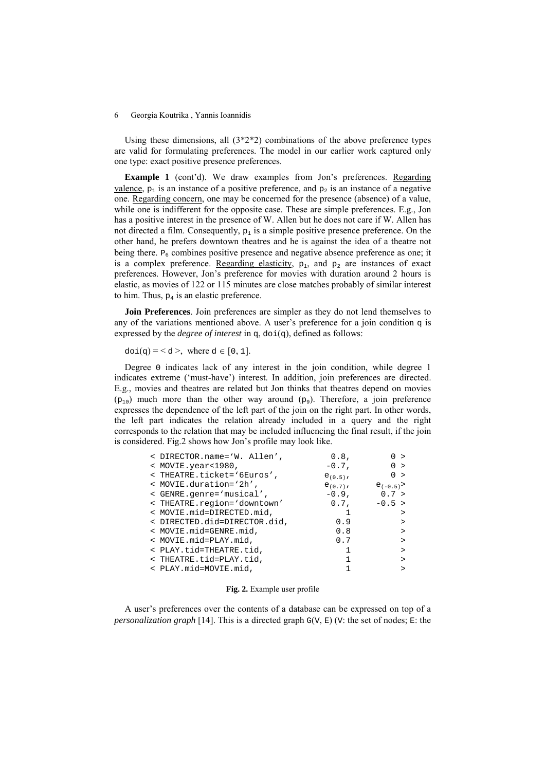Using these dimensions, all  $(3^*2^*2)$  combinations of the above preference types are valid for formulating preferences. The model in our earlier work captured only one type: exact positive presence preferences.

**Example 1** (cont'd). We draw examples from Jon's preferences. Regarding valence,  $p_1$  is an instance of a positive preference, and  $p_2$  is an instance of a negative one. Regarding concern, one may be concerned for the presence (absence) of a value, while one is indifferent for the opposite case. These are simple preferences. E.g., Jon has a positive interest in the presence of W. Allen but he does not care if W. Allen has not directed a film. Consequently,  $p_1$  is a simple positive presence preference. On the other hand, he prefers downtown theatres and he is against the idea of a theatre not being there.  $P_6$  combines positive presence and negative absence preference as one; it is a complex preference. Regarding elasticity,  $p_1$ , and  $p_2$  are instances of exact preferences. However, Jon's preference for movies with duration around 2 hours is elastic, as movies of 122 or 115 minutes are close matches probably of similar interest to him. Thus,  $p_4$  is an elastic preference.

**Join Preferences**. Join preferences are simpler as they do not lend themselves to any of the variations mentioned above. A user's preference for a join condition  $q$  is expressed by the *degree of interest* in  $q$ ,  $doi(q)$ , defined as follows:

 $\text{doi}(q) = 60$ , where  $d \in [0, 1]$ .

Degree 0 indicates lack of any interest in the join condition, while degree 1 indicates extreme ('must-have') interest. In addition, join preferences are directed. E.g., movies and theatres are related but Jon thinks that theatres depend on movies  $(p_{10})$  much more than the other way around  $(p_9)$ . Therefore, a join preference expresses the dependence of the left part of the join on the right part. In other words, the left part indicates the relation already included in a query and the right corresponds to the relation that may be included influencing the final result, if the join is considered. Fig.2 shows how Jon's profile may look like.

| < DIRECTOR.name='W. Allen',  | $0.8$ ,       | 0 >          |
|------------------------------|---------------|--------------|
| < MOVIE.year<1980,           | $-0.7$ ,      | 0 >          |
| < THEATRE.ticket='6Euros',   | $e_{(0.5)}$ , | 0 >          |
| < MOVIE.duration='2h',       | $e_{(0.7)}$ , | $e_{(-0.5)}$ |
| < GENRE.genre='musical',     | $-0.9$ ,      | 0.7 >        |
| < THEATRE.region='downtown'  | $0.7$ ,       | $-0.5 >$     |
| < MOVIE.mid=DIRECTED.mid,    |               | $\mathbf{r}$ |
| < DIRECTED.did=DIRECTOR.did, | 0.9           |              |
| < MOVIE.mid=GENRE.mid,       | 0.8           |              |
| < MOVIE.mid=PLAY.mid,        | 0.7           | $\mathbf{r}$ |
| < PLAY.tid=THEATRE.tid,      |               |              |
| < THEATRE.tid=PLAY.tid,      |               |              |
| < PLAY.mid=MOVIE.mid,        |               |              |

#### **Fig. 2.** Example user profile

A user's preferences over the contents of a database can be expressed on top of a *personalization graph* [14]. This is a directed graph  $G(V, E)$  (V: the set of nodes; E: the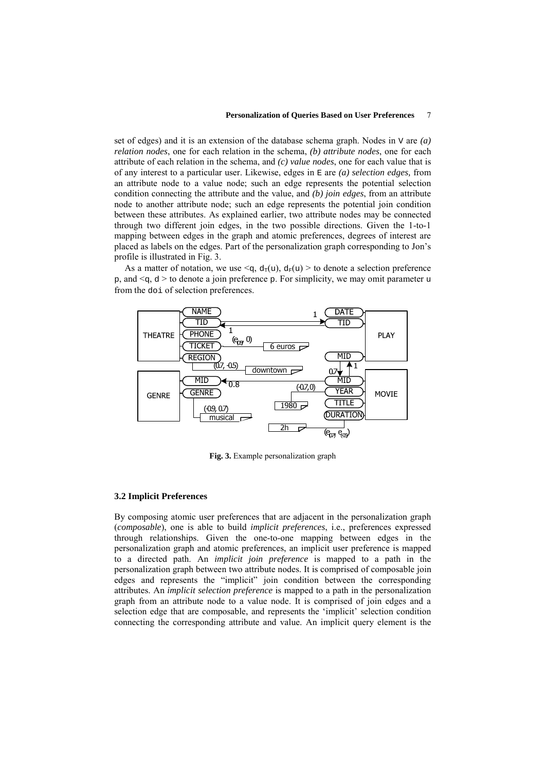#### **Personalization of Queries Based on User Preferences** 7

set of edges) and it is an extension of the database schema graph. Nodes in V are *(a) relation nodes*, one for each relation in the schema, *(b) attribute nodes*, one for each attribute of each relation in the schema, and *(c) value nodes*, one for each value that is of any interest to a particular user. Likewise, edges in E are *(a) selection edges,* from an attribute node to a value node; such an edge represents the potential selection condition connecting the attribute and the value, and *(b) join edges*, from an attribute node to another attribute node; such an edge represents the potential join condition between these attributes. As explained earlier, two attribute nodes may be connected through two different join edges, in the two possible directions. Given the 1-to-1 mapping between edges in the graph and atomic preferences, degrees of interest are placed as labels on the edges. Part of the personalization graph corresponding to Jon's profile is illustrated in Fig. 3.

As a matter of notation, we use  $\leq q$ ,  $d_T(u)$ ,  $d_F(u)$  > to denote a selection preference  $p$ , and  $\leq q$ ,  $d >$  to denote a join preference  $p$ . For simplicity, we may omit parameter u from the doi of selection preferences.



**Fig. 3.** Example personalization graph

### **3.2 Implicit Preferences**

By composing atomic user preferences that are adjacent in the personalization graph (*composable*), one is able to build *implicit preferences*, i.e., preferences expressed through relationships. Given the one-to-one mapping between edges in the personalization graph and atomic preferences, an implicit user preference is mapped to a directed path. An *implicit join preference* is mapped to a path in the personalization graph between two attribute nodes. It is comprised of composable join edges and represents the "implicit" join condition between the corresponding attributes. An *implicit selection preference* is mapped to a path in the personalization graph from an attribute node to a value node. It is comprised of join edges and a selection edge that are composable, and represents the 'implicit' selection condition connecting the corresponding attribute and value. An implicit query element is the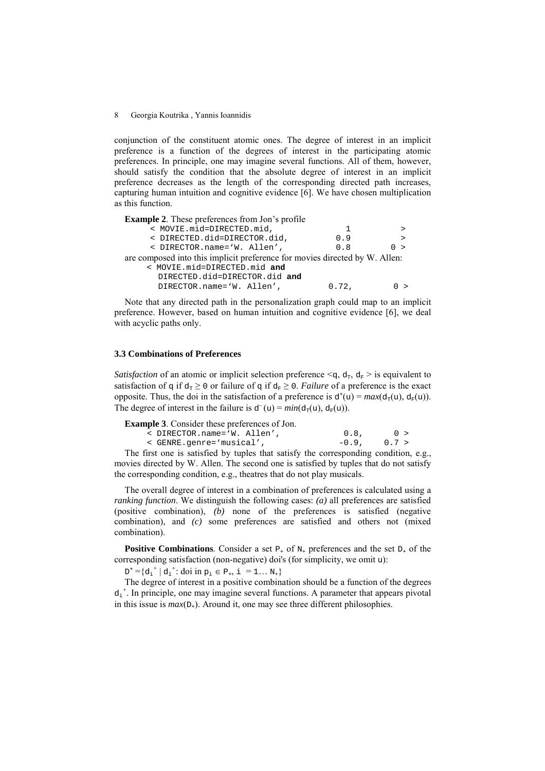conjunction of the constituent atomic ones. The degree of interest in an implicit preference is a function of the degrees of interest in the participating atomic preferences. In principle, one may imagine several functions. All of them, however, should satisfy the condition that the absolute degree of interest in an implicit preference decreases as the length of the corresponding directed path increases, capturing human intuition and cognitive evidence [6]. We have chosen multiplication as this function.

**Example 2**. These preferences from Jon's profile

|                                                                             | < MOVIE.mid=DIRECTED.mid,     | Т.    |     |  |
|-----------------------------------------------------------------------------|-------------------------------|-------|-----|--|
|                                                                             | < DIRECTED.did=DIRECTOR.did,  | 0.9   |     |  |
|                                                                             | < DIRECTOR.name='W. Allen',   | 0.8   | 0 > |  |
| are composed into this implicit preference for movies directed by W. Allen: |                               |       |     |  |
| < MOVIE.mid=DIRECTED.mid and                                                |                               |       |     |  |
|                                                                             | DIRECTED.did=DIRECTOR.did and |       |     |  |
|                                                                             | DIRECTOR.name='W. Allen',     | 0.72, |     |  |
|                                                                             |                               |       |     |  |

Note that any directed path in the personalization graph could map to an implicit preference. However, based on human intuition and cognitive evidence [6], we deal with acyclic paths only.

### **3.3 Combinations of Preferences**

*Satisfaction* of an atomic or implicit selection preference  $\leq q$ ,  $d_T$ ,  $d_F$  > is equivalent to satisfaction of q if  $d_{\tau} \ge 0$  or failure of q if  $d_{\tau} \ge 0$ . *Failure* of a preference is the exact opposite. Thus, the doi in the satisfaction of a preference is  $d^+(u) = max(d_T(u), d_F(u))$ . The degree of interest in the failure is  $d^-(u) = min(d_{\tau}(u), d_{\tau}(u))$ .

**Example 3**. Consider these preferences of Jon.

| < DIRECTOR.name='W. Allen', | $0.8$ ,          | $\bigcap$ > |
|-----------------------------|------------------|-------------|
| < GENRE.genre='musical',    | $-0.9$ , $0.7 >$ |             |

The first one is satisfied by tuples that satisfy the corresponding condition, e.g., movies directed by W. Allen. The second one is satisfied by tuples that do not satisfy the corresponding condition, e.g., theatres that do not play musicals.

The overall degree of interest in a combination of preferences is calculated using a *ranking function*. We distinguish the following cases: *(a)* all preferences are satisfied (positive combination), *(b)* none of the preferences is satisfied (negative combination), and *(c)* some preferences are satisfied and others not (mixed combination).

**Positive Combinations**. Consider a set  $P_+$  of  $N_+$  preferences and the set  $D_+$  of the corresponding satisfaction (non-negative) doi's (for simplicity, we omit u):

 $D^+ = \{ d_i^+ | d_i^+ : \text{doi in } p_i \in P_+, i = 1... N_+ \}$ 

The degree of interest in a positive combination should be a function of the degrees  $d_i^+$ . In principle, one may imagine several functions. A parameter that appears pivotal in this issue is  $max(D_+)$ . Around it, one may see three different philosophies.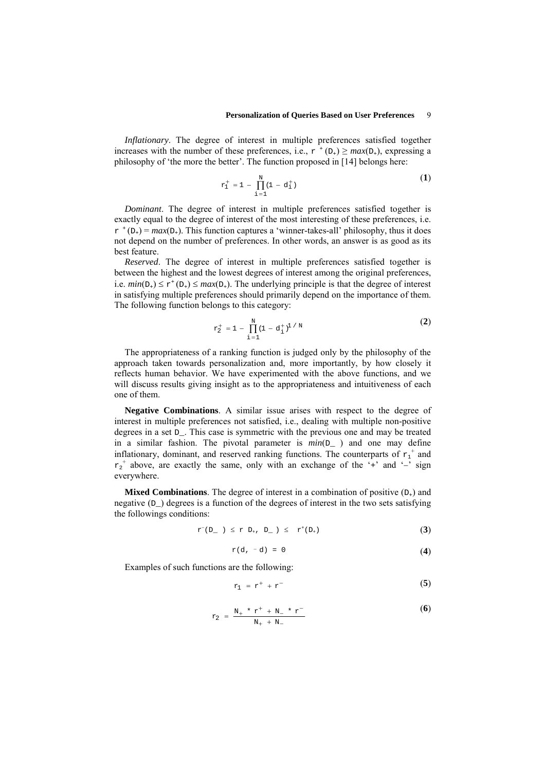*Inflationary*. The degree of interest in multiple preferences satisfied together increases with the number of these preferences, i.e.,  $r^{+}$  (D<sub>+</sub>)  $\geq$  *max*(D<sub>+</sub>), expressing a philosophy of 'the more the better'. The function proposed in [14] belongs here:

$$
r_1^+ = 1 - \prod_{i=1}^N (1 - d_i^+) \tag{1}
$$

*Dominant*. The degree of interest in multiple preferences satisfied together is exactly equal to the degree of interest of the most interesting of these preferences, i.e.  $r^{+}$  (D<sub>+</sub>) = *max*(D<sub>+</sub>). This function captures a 'winner-takes-all' philosophy, thus it does not depend on the number of preferences. In other words, an answer is as good as its best feature.

*Reserved*. The degree of interest in multiple preferences satisfied together is between the highest and the lowest degrees of interest among the original preferences, i.e.  $min(D_+) \le r^+(D_+) \le max(D_+)$ . The underlying principle is that the degree of interest in satisfying multiple preferences should primarily depend on the importance of them. The following function belongs to this category:

$$
r_2^+ = 1 - \prod_{i=1}^N (1 - d_i^+)^{1/N}
$$
 (2)

The appropriateness of a ranking function is judged only by the philosophy of the approach taken towards personalization and, more importantly, by how closely it reflects human behavior. We have experimented with the above functions, and we will discuss results giving insight as to the appropriateness and intuitiveness of each one of them.

**Negative Combinations**. A similar issue arises with respect to the degree of interest in multiple preferences not satisfied, i.e., dealing with multiple non-positive degrees in a set D\_. This case is symmetric with the previous one and may be treated in a similar fashion. The pivotal parameter is *min*(D\_ ) and one may define inflationary, dominant, and reserved ranking functions. The counterparts of  $r_1^+$  and  $r_2$ <sup>+</sup> above, are exactly the same, only with an exchange of the '+' and '-' sign everywhere.

**Mixed Combinations**. The degree of interest in a combination of positive  $(D_+)$  and negative  $(D_{\alpha})$  degrees is a function of the degrees of interest in the two sets satisfying the followings conditions:

$$
r^{-}(D_{-}) \leq r D_{+}, D_{-}) \leq r^{+}(D_{+})
$$
 (3)

$$
r(d, -d) = 0 \tag{4}
$$

Examples of such functions are the following:

$$
r_1 = r^+ + r^- \tag{5}
$$

$$
r_2 = \frac{N_+ * r^+ + N_- * r^-}{N_+ + N_-}
$$
 (6)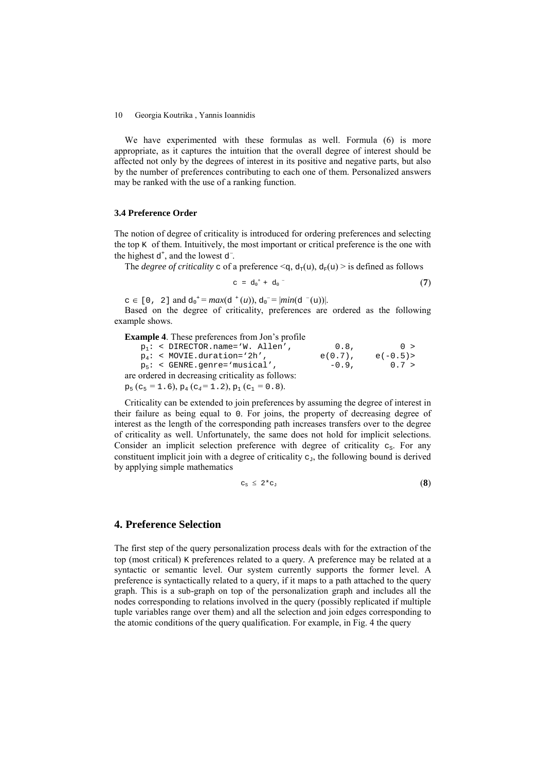We have experimented with these formulas as well. Formula (6) is more appropriate, as it captures the intuition that the overall degree of interest should be affected not only by the degrees of interest in its positive and negative parts, but also by the number of preferences contributing to each one of them. Personalized answers may be ranked with the use of a ranking function.

#### **3.4 Preference Order**

The notion of degree of criticality is introduced for ordering preferences and selecting the top  $K$  of them. Intuitively, the most important or critical preference is the one with the highest  $d^+$ , and the lowest  $d^-$ .

The *degree of criticality* c of a preference  $\leq q$ ,  $d_T(u)$ ,  $d_F(u)$  is defined as follows

$$
c = d_0^+ + d_0^- \tag{7}
$$

 $c \in [0, 2]$  and  $d_0^+ = max(d^+(u)), d_0^- = |min(d^-(u))|$ .

Based on the degree of criticality, preferences are ordered as the following example shows.

| <b>Example 4.</b> These preferences from Jon's profile                                    |            |           |
|-------------------------------------------------------------------------------------------|------------|-----------|
| $p_1$ : < DIRECTOR.name='W. Allen',                                                       | 0.8.       | 0 >       |
| $p_4$ : < MOVIE.duration='2h',                                                            | $e(0.7)$ , | $e(-0.5)$ |
| $p_5$ : < GENRE.genre='musical',                                                          | $-0.9.$    | 0.7 >     |
| are ordered in decreasing criticality as follows:                                         |            |           |
| $p_5$ (c <sub>5</sub> = 1.6), $p_4$ (c <sub>4</sub> = 1.2), $p_1$ (c <sub>1</sub> = 0.8). |            |           |

Criticality can be extended to join preferences by assuming the degree of interest in their failure as being equal to 0. For joins, the property of decreasing degree of interest as the length of the corresponding path increases transfers over to the degree of criticality as well. Unfortunately, the same does not hold for implicit selections. Consider an implicit selection preference with degree of criticality  $c_s$ . For any constituent implicit join with a degree of criticality  $c_{\text{J}}$ , the following bound is derived by applying simple mathematics

$$
c_{\rm s} \leq 2 \cdot c_{\rm J} \tag{8}
$$

### **4. Preference Selection**

The first step of the query personalization process deals with for the extraction of the top (most critical) K preferences related to a query. A preference may be related at a syntactic or semantic level. Our system currently supports the former level. A preference is syntactically related to a query, if it maps to a path attached to the query graph. This is a sub-graph on top of the personalization graph and includes all the nodes corresponding to relations involved in the query (possibly replicated if multiple tuple variables range over them) and all the selection and join edges corresponding to the atomic conditions of the query qualification. For example, in Fig. 4 the query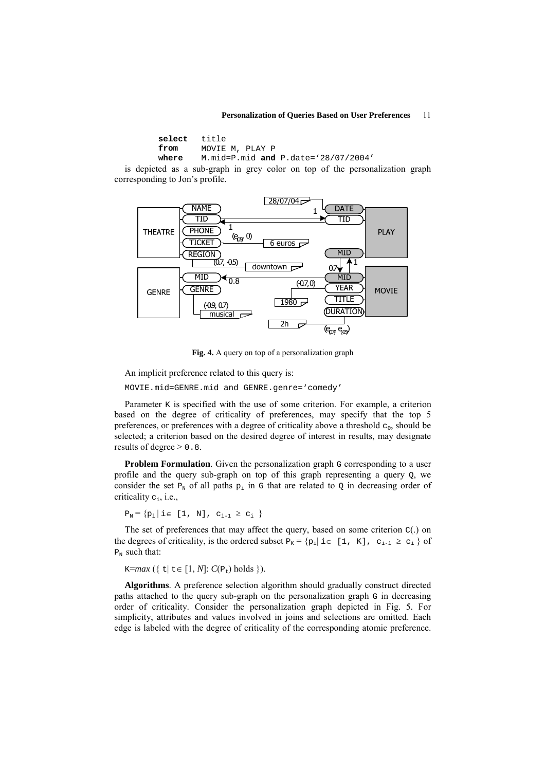#### **Personalization of Queries Based on User Preferences** 11

| select title |                                       |
|--------------|---------------------------------------|
| from         | MOVIE M, PLAY P                       |
| where        | M.mid=P.mid and P.date= $28/07/2004'$ |

is depicted as a sub-graph in grey color on top of the personalization graph corresponding to Jon's profile.



**Fig. 4.** A query on top of a personalization graph

An implicit preference related to this query is:

MOVIE.mid=GENRE.mid and GENRE.genre='comedy'

Parameter  $\kappa$  is specified with the use of some criterion. For example, a criterion based on the degree of criticality of preferences, may specify that the top 5 preferences, or preferences with a degree of criticality above a threshold  $c_0$ , should be selected; a criterion based on the desired degree of interest in results, may designate results of degree  $> 0.8$ .

**Problem Formulation**. Given the personalization graph G corresponding to a user profile and the query sub-graph on top of this graph representing a query Q, we consider the set  $P_N$  of all paths  $p_i$  in G that are related to Q in decreasing order of criticality  $c_i$ , i.e.,

 $P_N = \{p_i | i \in [1, N], c_{i-1} \geq c_i \}$ 

The set of preferences that may affect the query, based on some criterion  $C(.)$  on the degrees of criticality, is the ordered subset  $P_K = \{p_i | i \in [1, K], c_{i-1} \ge c_i \}$  of  $P_N$  such that:

 $K=max({ \tleq t | t \in [1, N]: C(P_t) holds }$ .

**Algorithms**. A preference selection algorithm should gradually construct directed paths attached to the query sub-graph on the personalization graph G in decreasing order of criticality. Consider the personalization graph depicted in Fig. 5. For simplicity, attributes and values involved in joins and selections are omitted. Each edge is labeled with the degree of criticality of the corresponding atomic preference.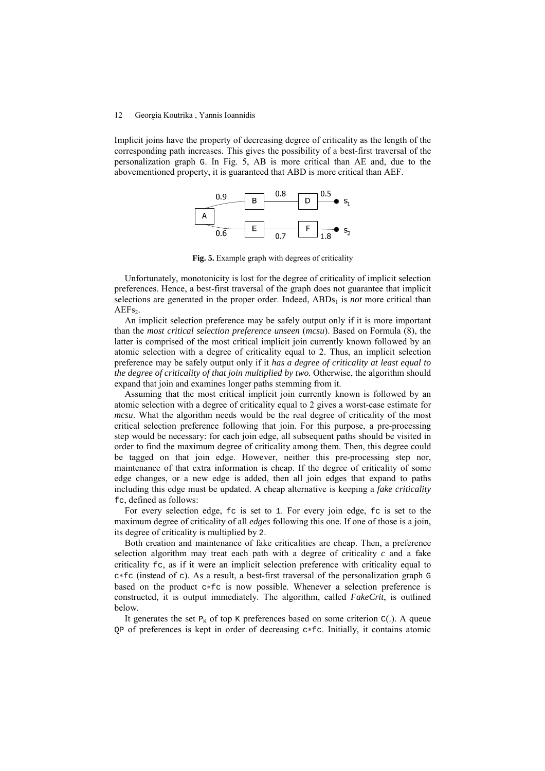Implicit joins have the property of decreasing degree of criticality as the length of the corresponding path increases. This gives the possibility of a best-first traversal of the personalization graph G. In Fig. 5, AB is more critical than AE and, due to the abovementioned property, it is guaranteed that ABD is more critical than AEF.



**Fig. 5.** Example graph with degrees of criticality

Unfortunately, monotonicity is lost for the degree of criticality of implicit selection preferences. Hence, a best-first traversal of the graph does not guarantee that implicit selections are generated in the proper order. Indeed,  $ABDs<sub>1</sub>$  is *not* more critical than  $AEFs<sub>2</sub>$ .

An implicit selection preference may be safely output only if it is more important than the *most critical selection preference unseen* (*mcsu*). Based on Formula (8), the latter is comprised of the most critical implicit join currently known followed by an atomic selection with a degree of criticality equal to 2. Thus, an implicit selection preference may be safely output only if it *has a degree of criticality at least equal to the degree of criticality of that join multiplied by two*. Otherwise, the algorithm should expand that join and examines longer paths stemming from it.

Assuming that the most critical implicit join currently known is followed by an atomic selection with a degree of criticality equal to 2 gives a worst-case estimate for *mcsu*. What the algorithm needs would be the real degree of criticality of the most critical selection preference following that join. For this purpose, a pre-processing step would be necessary: for each join edge, all subsequent paths should be visited in order to find the maximum degree of criticality among them. Then, this degree could be tagged on that join edge. However, neither this pre-processing step nor, maintenance of that extra information is cheap. If the degree of criticality of some edge changes, or a new edge is added, then all join edges that expand to paths including this edge must be updated. A cheap alternative is keeping a *fake criticality*  fc, defined as follows:

For every selection edge, fc is set to 1. For every join edge, fc is set to the maximum degree of criticality of all *edges* following this one. If one of those is a join, its degree of criticality is multiplied by 2.

Both creation and maintenance of fake criticalities are cheap. Then, a preference selection algorithm may treat each path with a degree of criticality *c* and a fake criticality fc, as if it were an implicit selection preference with criticality equal to c∗fc (instead of c). As a result, a best-first traversal of the personalization graph G based on the product c∗fc is now possible. Whenever a selection preference is constructed, it is output immediately. The algorithm, called *FakeCrit*, is outlined below.

It generates the set  $P<sub>K</sub>$  of top K preferences based on some criterion  $C(.)$ . A queue QP of preferences is kept in order of decreasing c∗fc. Initially, it contains atomic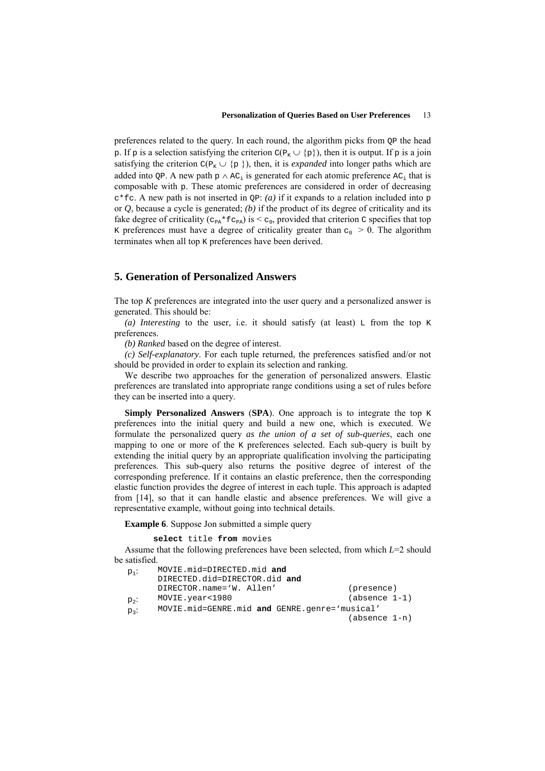preferences related to the query. In each round, the algorithm picks from QP the head p. If p is a selection satisfying the criterion  $C(P_K \cup \{p\})$ , then it is output. If p is a join satisfying the criterion  $C(P_K \cup \{p\})$ , then, it is *expanded* into longer paths which are added into QP. A new path  $p \wedge AC_i$  is generated for each atomic preference  $AC_i$  that is composable with p. These atomic preferences are considered in order of decreasing  $c * f c$ . A new path is not inserted in  $\overline{OP}$ : *(a)* if it expands to a relation included into p or *Q*, because a cycle is generated; *(b)* if the product of its degree of criticality and its fake degree of criticality ( $c_{PA}$ \* $fc_{PA}$ ) is  $\lt c_0$ , provided that criterion  $c$  specifies that top K preferences must have a degree of criticality greater than  $c_0 > 0$ . The algorithm terminates when all top K preferences have been derived.

## **5. Generation of Personalized Answers**

The top *K* preferences are integrated into the user query and a personalized answer is generated. This should be:

(a) *Interesting* to the user, i.e. it should satisfy (at least)  $\mathbb{L}$  from the top K preferences.

*(b) Ranked* based on the degree of interest.

*(c) Self-explanatory*. For each tuple returned, the preferences satisfied and/or not should be provided in order to explain its selection and ranking.

We describe two approaches for the generation of personalized answers. Elastic preferences are translated into appropriate range conditions using a set of rules before they can be inserted into a query.

**Simply Personalized Answers** (**SPA**). One approach is to integrate the top K preferences into the initial query and build a new one, which is executed. We formulate the personalized query *as the union of a set of sub-queries*, each one mapping to one or more of the K preferences selected. Each sub-query is built by extending the initial query by an appropriate qualification involving the participating preferences. This sub-query also returns the positive degree of interest of the corresponding preference. If it contains an elastic preference, then the corresponding elastic function provides the degree of interest in each tuple. This approach is adapted from [14], so that it can handle elastic and absence preferences. We will give a representative example, without going into technical details.

**Example 6**. Suppose Jon submitted a simple query

**select** title **from** movies

Assume that the following preferences have been selected, from which *L*=2 should be satisfied.

| $p_1$ : | MOVIE.mid=DIRECTED.mid and                    |                 |  |
|---------|-----------------------------------------------|-----------------|--|
|         | DIRECTED.did=DIRECTOR.did and                 |                 |  |
|         | DIRECTOR.name='W. Allen'                      | (presence)      |  |
| $p_2$ : | MOVIE.year<1980                               | $(absence 1-1)$ |  |
| $p_3$ : | MOVIE.mid=GENRE.mid and GENRE.qenre='musical' |                 |  |
|         |                                               | (absence 1-n)   |  |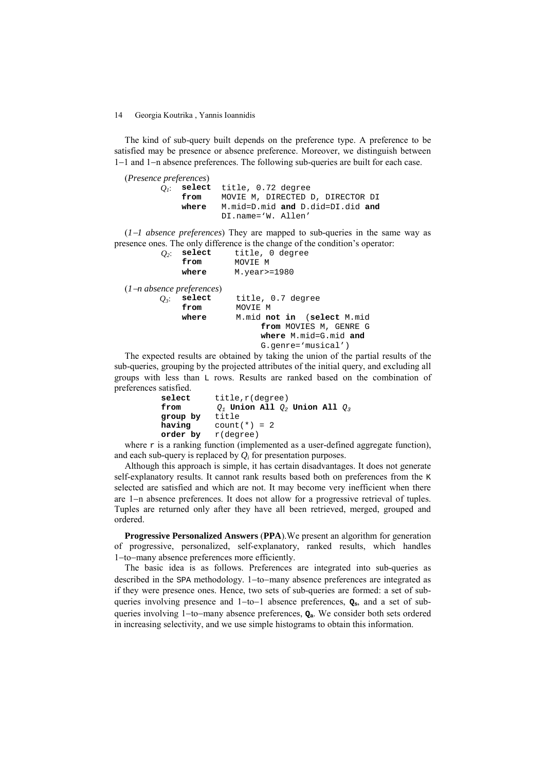The kind of sub-query built depends on the preference type. A preference to be satisfied may be presence or absence preference. Moreover, we distinguish between 1−1 and 1−n absence preferences. The following sub-queries are built for each case.

(*Presence preferences*) **select** title, 0.72 degree  **from** MOVIE M, DIRECTED D, DIRECTOR DI  **where** M.mid=D.mid **and** D.did=DI.did **and** DI.name='W. Allen'

(*1*−*1 absence preferences*) They are mapped to sub-queries in the same way as presence ones. The only difference is the change of the condition's operator:

```
Q2: select title, 0 degree 
                         from MOVIE M 
             where M.year>=1980 
(1−n absence preferences) 
       Q3: select title, 0.7 degree 
                         from MOVIE M 
             where M.mid not in (select M.mid 
                              from MOVIES M, GENRE G 
                              where M.mid=G.mid and 
                              G.genre='musical')
```
The expected results are obtained by taking the union of the partial results of the sub-queries, grouping by the projected attributes of the initial query, and excluding all groups with less than L rows. Results are ranked based on the combination of preferences satisfied.

```
select title,r(degree) 
from Q_1 Union All Q_2 Union All Q_3<br>group by title
group by
having count(*) = 2<br>order by r(degree)
               order by r(degree)
```
where  $r$  is a ranking function (implemented as a user-defined aggregate function), and each sub-query is replaced by *Qi* for presentation purposes.

Although this approach is simple, it has certain disadvantages. It does not generate self-explanatory results. It cannot rank results based both on preferences from the K selected are satisfied and which are not. It may become very inefficient when there are 1−n absence preferences. It does not allow for a progressive retrieval of tuples. Tuples are returned only after they have all been retrieved, merged, grouped and ordered.

**Progressive Personalized Answers** (**PPA**).We present an algorithm for generation of progressive, personalized, self-explanatory, ranked results, which handles 1−to−many absence preferences more efficiently.

The basic idea is as follows. Preferences are integrated into sub-queries as described in the SPA methodology. 1−to−many absence preferences are integrated as if they were presence ones. Hence, two sets of sub-queries are formed: a set of subqueries involving presence and 1−to−1 absence preferences, **Qs**, and a set of subqueries involving 1−to−many absence preferences, **Qa**. We consider both sets ordered in increasing selectivity, and we use simple histograms to obtain this information.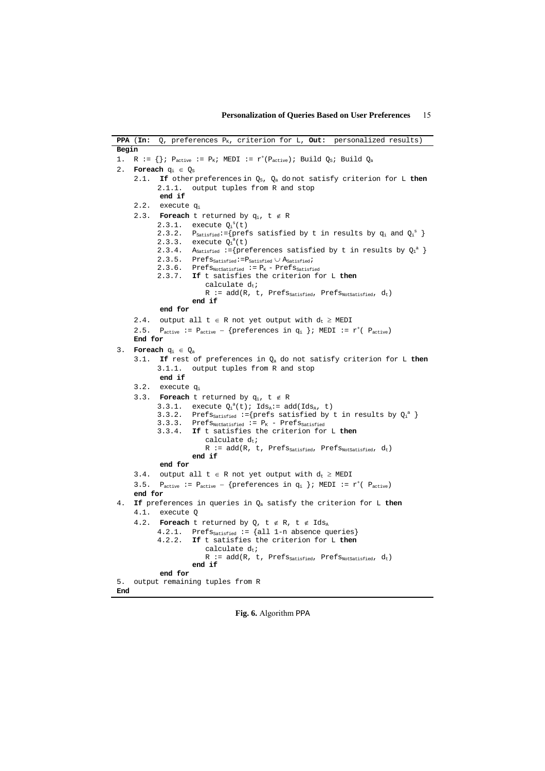|       | PPA (In:        | Q, preferences P <sub>K</sub> , criterion for L, Out: personalized results)                                                                                                                                                   |
|-------|-----------------|-------------------------------------------------------------------------------------------------------------------------------------------------------------------------------------------------------------------------------|
| Begin |                 |                                                                                                                                                                                                                               |
| 1.    |                 | R := $\{\}\$ i Pactive := PK; MEDI := r <sup>+</sup> (Pactive); Build Q <sub>S</sub> ; Build Qa                                                                                                                               |
| 2.    |                 | <b>Foreach</b> $q_i \in Q_s$                                                                                                                                                                                                  |
|       | 2.1.            | If other preferences in $Q_S$ , $Q_a$ do not satisfy criterion for L then                                                                                                                                                     |
|       |                 | output tuples from R and stop<br>2.1.1.                                                                                                                                                                                       |
|       |                 | end if                                                                                                                                                                                                                        |
|       | 2.2.            | execute q <sub>i</sub>                                                                                                                                                                                                        |
|       |                 | 2.3. <b>Foreach</b> t returned by $q_i$ , $t \notin R$                                                                                                                                                                        |
|       |                 | execute $Q_i^s(t)$<br>2.3.1.                                                                                                                                                                                                  |
|       |                 | $P_{\text{Satisfied}} := \{ \text{prefix} \text{ satisfies } \text{stified by } t \text{ in results by } q_i \text{ and } Q_i^s \}$<br>2.3.2.                                                                                 |
|       |                 | 2.3.3. execute $Q_1^a(t)$                                                                                                                                                                                                     |
|       |                 | 2.3.4. Asatisfied := {preferences satisfied by t in results by $Q_1^a$ }                                                                                                                                                      |
|       |                 | $2.3.5. \quad \mathtt{Prefs}_{\mathtt{Satisfied}} \texttt{:=} \mathtt{P}_{\mathtt{Satisfied}} \cup \mathtt{A}_{\mathtt{Satisfied}} \texttt{,}$<br>2.3.6. Pref $s_{\text{NotSatisfied}} := P_K$ - Pref $s_{\text{Satistical}}$ |
|       |                 | 2.3.7. If t satisfies the criterion for L then                                                                                                                                                                                |
|       |                 | calculate $d_t$ ;                                                                                                                                                                                                             |
|       |                 | R := $add(R, t, Prefs_{\text{Satisfied}}, Prefs_{\text{NotSatisfied}}, d_t)$                                                                                                                                                  |
|       |                 | end if                                                                                                                                                                                                                        |
|       |                 | end for                                                                                                                                                                                                                       |
|       | 2.4.            | output all $t \in R$ not yet output with $d_t \geq MEDI$                                                                                                                                                                      |
|       | 2.5.            | Pactive := Pactive - {preferences in $q_i$ }; MEDI := $r^{\dagger}$ ( Pactive)                                                                                                                                                |
|       | End for         |                                                                                                                                                                                                                               |
| 3.    |                 | <b>Foreach</b> $q_i \in Q_a$                                                                                                                                                                                                  |
|       | 3.1.            | If rest of preferences in $Q_a$ do not satisfy criterion for L then                                                                                                                                                           |
|       |                 | 3.1.1. output tuples from R and stop                                                                                                                                                                                          |
|       |                 | end if                                                                                                                                                                                                                        |
|       | 3.2.            | execute q <sub>i</sub>                                                                                                                                                                                                        |
|       | 3.3.            | <b>Foreach</b> t returned by $q_i$ , t $\notin$ R                                                                                                                                                                             |
|       |                 | 3.3.1. execute $Q_i^a(t)$ ; Ids <sub>a</sub> := add(Ids <sub>a</sub> , t)<br>Prefs <sub>satisfied</sub> :={prefs satisfied by t in results by $Q_i^a$ }<br>3.3.2.                                                             |
|       |                 | 3.3.3. Pref $s_{\text{NotSatisfied}} := P_K - \text{PrefS}_{\text{Satisfied}}$                                                                                                                                                |
|       |                 | 3.3.4.<br>If t satisfies the criterion for L then                                                                                                                                                                             |
|       |                 | calculate $d_t$ ;                                                                                                                                                                                                             |
|       |                 | R := $add(R, t, Prefs_{\text{Satisfied}}, Prefs_{\text{NotSatisfied}}, d_t)$                                                                                                                                                  |
|       |                 | end if                                                                                                                                                                                                                        |
|       |                 | end for                                                                                                                                                                                                                       |
|       | 3.4.            | output all $t \in R$ not yet output with $d_t \geq MEDI$                                                                                                                                                                      |
|       | 3.5.<br>end for | $P_{\text{active}}$ := $P_{\text{active}} - \{ \text{preferences in } q_i \}$ ; MEDI := $r^{\dagger}$ ( $P_{\text{active}}$ )                                                                                                 |
| 4.    |                 | If preferences in queries in $Q_a$ satisfy the criterion for L then                                                                                                                                                           |
|       | 4.1.            | execute 0                                                                                                                                                                                                                     |
|       | 4.2.            |                                                                                                                                                                                                                               |
|       |                 | Foreach t returned by Q, t $\notin$ R, t $\notin$ Ids <sub>A</sub><br>$Prefs_{\text{Satisfied}} := \{all 1-n \text{ absence queries}\}$<br>4.2.1.                                                                             |
|       |                 | 4.2.2.<br>If t satisfies the criterion for L then                                                                                                                                                                             |
|       |                 | calculate $d_t$ ;                                                                                                                                                                                                             |
|       |                 | $R := add(R, t, Prefs_{Satisfied}, Prefs_{NotSatisfied}, d_t)$                                                                                                                                                                |
|       |                 | end if                                                                                                                                                                                                                        |
|       |                 | end for                                                                                                                                                                                                                       |
| 5.    |                 | output remaining tuples from R                                                                                                                                                                                                |
| End   |                 |                                                                                                                                                                                                                               |

**Fig. 6.** Algorithm PPA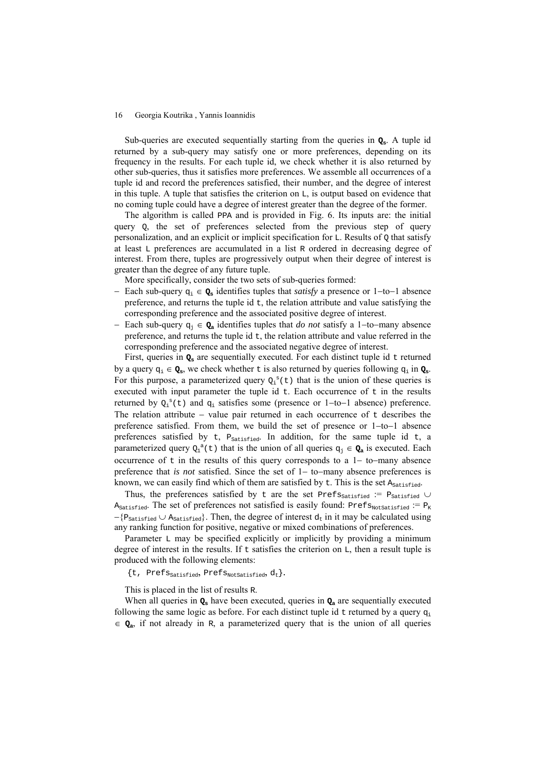Sub-queries are executed sequentially starting from the queries in **Qs**. A tuple id returned by a sub-query may satisfy one or more preferences, depending on its frequency in the results. For each tuple id, we check whether it is also returned by other sub-queries, thus it satisfies more preferences. We assemble all occurrences of a tuple id and record the preferences satisfied, their number, and the degree of interest in this tuple. A tuple that satisfies the criterion on L, is output based on evidence that no coming tuple could have a degree of interest greater than the degree of the former.

The algorithm is called PPA and is provided in Fig. 6. Its inputs are: the initial query Q, the set of preferences selected from the previous step of query personalization, and an explicit or implicit specification for L. Results of Q that satisfy at least L preferences are accumulated in a list R ordered in decreasing degree of interest. From there, tuples are progressively output when their degree of interest is greater than the degree of any future tuple.

More specifically, consider the two sets of sub-queries formed:

- − Each sub-query qi ∈ **Qs** identifies tuples that *satisfy* a presence or 1−to−1 absence preference, and returns the tuple id  $t$ , the relation attribute and value satisfying the corresponding preference and the associated positive degree of interest.
- − Each sub-query qj ∈ **Qa** identifies tuples that *do not* satisfy a 1−to−many absence preference, and returns the tuple id  $t$ , the relation attribute and value referred in the corresponding preference and the associated negative degree of interest.

First, queries in  $Q_s$  are sequentially executed. For each distinct tuple id  $t$  returned by a query  $q_i \in Q_s$ , we check whether t is also returned by queries following  $q_i$  in  $Q_s$ . For this purpose, a parameterized query  $Q_i^s(t)$  that is the union of these queries is executed with input parameter the tuple id  $t$ . Each occurrence of  $t$  in the results returned by  $Q_i^s(t)$  and  $q_i$  satisfies some (presence or 1-to-1 absence) preference. The relation attribute – value pair returned in each occurrence of t describes the preference satisfied. From them, we build the set of presence or 1−to−1 absence preferences satisfied by  $t$ ,  $P_{\text{Satisfied}}$ . In addition, for the same tuple id  $t$ , a parameterized query  $Q_1^a(t)$  that is the union of all queries  $q_j \in Q_a$  is executed. Each occurrence of t in the results of this query corresponds to a 1− to−many absence preference that *is not* satisfied. Since the set of 1− to−many absence preferences is known, we can easily find which of them are satisfied by  $t$ . This is the set  $A_{\text{Satisfied}}$ .

Thus, the preferences satisfied by t are the set Pref $s_{\text{Satisfied}}$  := P<sub>Satisfied</sub> ∪  $A_{\text{Satisfied}}$ . The set of preferences not satisfied is easily found: Pref $s_{\text{NotsA}}$ := P<sub>K</sub>  $-\{P_{\text{Satisfied}} \cup A_{\text{Satisfied}}\}\.$  Then, the degree of interest  $d_t$  in it may be calculated using any ranking function for positive, negative or mixed combinations of preferences.

Parameter L may be specified explicitly or implicitly by providing a minimum degree of interest in the results. If t satisfies the criterion on  $\mathbb{L}$ , then a result tuple is produced with the following elements:

 $\{t, \text{Prefix}_{\text{Satisfied}}, \text{Prefix}_{\text{NotSatisfied}}, d_t\}.$ 

This is placed in the list of results R.

When all queries in  $Q_s$  have been executed, queries in  $Q_a$  are sequentially executed following the same logic as before. For each distinct tuple id  $t$  returned by a query  $q_i$ ∈ **Qa**, if not already in R, a parameterized query that is the union of all queries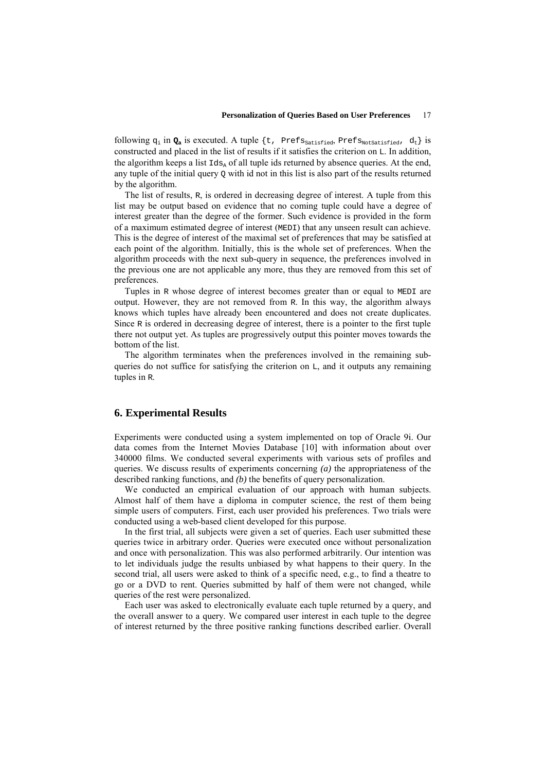following  $q_i$  in  $Q_a$  is executed. A tuple {t, Prefs<sub>Satisfied</sub>, Prefs<sub>NotSatisfied</sub>,  $d_t$ } is constructed and placed in the list of results if it satisfies the criterion on L. In addition, the algorithm keeps a list  $Id_{s_\lambda}$  of all tuple ids returned by absence queries. At the end, any tuple of the initial query Q with id not in this list is also part of the results returned by the algorithm.

The list of results, R, is ordered in decreasing degree of interest. A tuple from this list may be output based on evidence that no coming tuple could have a degree of interest greater than the degree of the former. Such evidence is provided in the form of a maximum estimated degree of interest (MEDI) that any unseen result can achieve. This is the degree of interest of the maximal set of preferences that may be satisfied at each point of the algorithm. Initially, this is the whole set of preferences. When the algorithm proceeds with the next sub-query in sequence, the preferences involved in the previous one are not applicable any more, thus they are removed from this set of preferences.

Tuples in R whose degree of interest becomes greater than or equal to MEDI are output. However, they are not removed from R. In this way, the algorithm always knows which tuples have already been encountered and does not create duplicates. Since R is ordered in decreasing degree of interest, there is a pointer to the first tuple there not output yet. As tuples are progressively output this pointer moves towards the bottom of the list.

The algorithm terminates when the preferences involved in the remaining subqueries do not suffice for satisfying the criterion on  $L$ , and it outputs any remaining tuples in R.

### **6. Experimental Results**

Experiments were conducted using a system implemented on top of Oracle 9i. Our data comes from the Internet Movies Database [10] with information about over 340000 films. We conducted several experiments with various sets of profiles and queries. We discuss results of experiments concerning *(a)* the appropriateness of the described ranking functions, and *(b)* the benefits of query personalization.

We conducted an empirical evaluation of our approach with human subjects. Almost half of them have a diploma in computer science, the rest of them being simple users of computers. First, each user provided his preferences. Two trials were conducted using a web-based client developed for this purpose.

In the first trial, all subjects were given a set of queries. Each user submitted these queries twice in arbitrary order. Queries were executed once without personalization and once with personalization. This was also performed arbitrarily. Our intention was to let individuals judge the results unbiased by what happens to their query. In the second trial, all users were asked to think of a specific need, e.g., to find a theatre to go or a DVD to rent. Queries submitted by half of them were not changed, while queries of the rest were personalized.

Each user was asked to electronically evaluate each tuple returned by a query, and the overall answer to a query. We compared user interest in each tuple to the degree of interest returned by the three positive ranking functions described earlier. Overall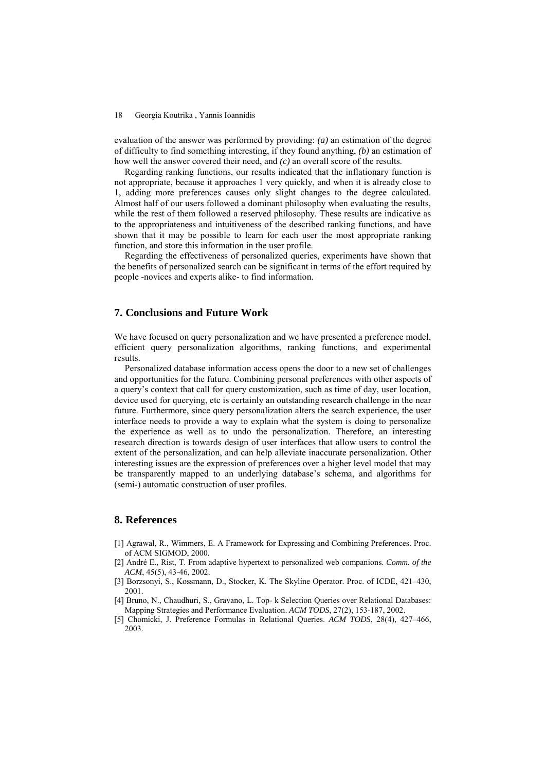evaluation of the answer was performed by providing: *(a)* an estimation of the degree of difficulty to find something interesting, if they found anything, *(b)* an estimation of how well the answer covered their need, and *(c)* an overall score of the results.

Regarding ranking functions, our results indicated that the inflationary function is not appropriate, because it approaches 1 very quickly, and when it is already close to 1, adding more preferences causes only slight changes to the degree calculated. Almost half of our users followed a dominant philosophy when evaluating the results, while the rest of them followed a reserved philosophy. These results are indicative as to the appropriateness and intuitiveness of the described ranking functions, and have shown that it may be possible to learn for each user the most appropriate ranking function, and store this information in the user profile.

Regarding the effectiveness of personalized queries, experiments have shown that the benefits of personalized search can be significant in terms of the effort required by people -novices and experts alike- to find information.

## **7. Conclusions and Future Work**

We have focused on query personalization and we have presented a preference model, efficient query personalization algorithms, ranking functions, and experimental results.

Personalized database information access opens the door to a new set of challenges and opportunities for the future. Combining personal preferences with other aspects of a query's context that call for query customization, such as time of day, user location, device used for querying, etc is certainly an outstanding research challenge in the near future. Furthermore, since query personalization alters the search experience, the user interface needs to provide a way to explain what the system is doing to personalize the experience as well as to undo the personalization. Therefore, an interesting research direction is towards design of user interfaces that allow users to control the extent of the personalization, and can help alleviate inaccurate personalization. Other interesting issues are the expression of preferences over a higher level model that may be transparently mapped to an underlying database's schema, and algorithms for (semi-) automatic construction of user profiles.

## **8. References**

- [1] Agrawal, R., Wimmers, E. A Framework for Expressing and Combining Preferences. Proc. of ACM SIGMOD, 2000.
- [2] André E., Rist, T. From adaptive hypertext to personalized web companions. *Comm. of the ACM*, 45(5), 43-46, 2002.
- [3] Borzsonyi, S., Kossmann, D., Stocker, K. The Skyline Operator. Proc. of ICDE, 421–430, 2001.
- [4] Bruno, N., Chaudhuri, S., Gravano, L. Top- k Selection Queries over Relational Databases: Mapping Strategies and Performance Evaluation. *ACM TODS*, 27(2), 153-187, 2002.
- [5] Chomicki, J. Preference Formulas in Relational Queries. *ACM TODS*, 28(4), 427–466, 2003.